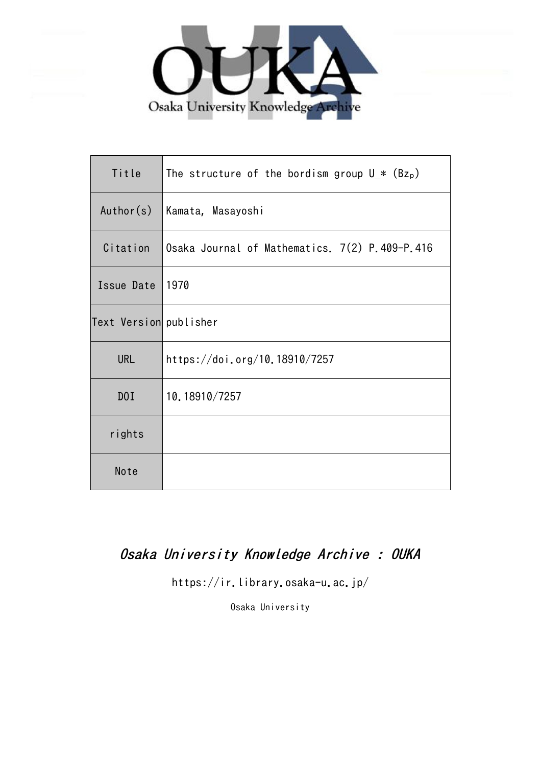

| Title                  | The structure of the bordism group $U * (Bz_p)$ |
|------------------------|-------------------------------------------------|
| Author(s)              | Kamata, Masayoshi                               |
| Citation               | Osaka Journal of Mathematics. 7(2) P.409-P.416  |
| Issue Date             | 1970                                            |
| Text Version publisher |                                                 |
| <b>URL</b>             | https://doi.org/10.18910/7257                   |
| D0I                    | 10.18910/7257                                   |
| rights                 |                                                 |
| Note                   |                                                 |

# Osaka University Knowledge Archive : OUKA

https://ir.library.osaka-u.ac.jp/

Osaka University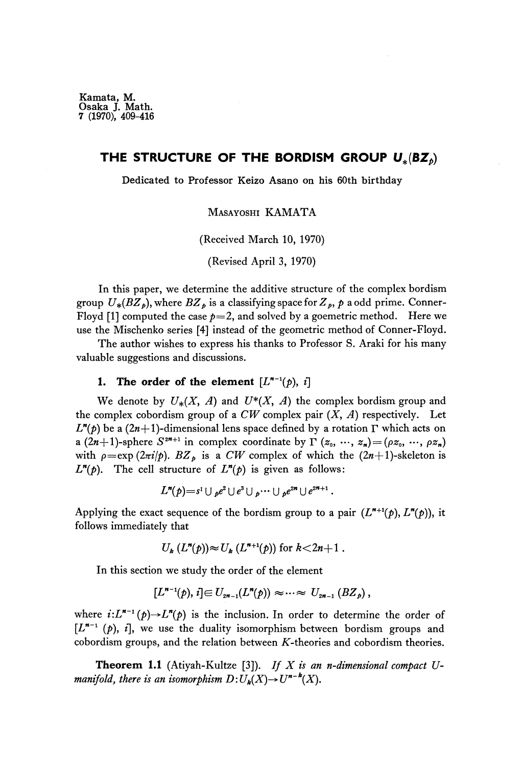## THE STRUCTURE OF THE BORDISM GROUP  $\boldsymbol{U}_{*}(\boldsymbol{B}\boldsymbol{Z}_{\hat{p}})$

Dedicated to Professor Keizo Asano on his 60th birthday

MASAYOSHI KAMATA

(Received March 10, 1970)

(Revised April 3, 1970)

In this paper, we determine the additive structure of the complex bordism group  $U_*(B\!Z_p)$ , where  $B\!Z_p$  is a classifying space for  $Z_p,$   $p$  a odd prime. Conner Floyd [1] computed the case  $p=2$ , and solved by a goemetric method. Here we use the Mischenko series [4] instead of the geometric method of Conner-Floyd.

The author wishes to express his thanks to Professor S. Araki for his many valuable suggestions and discussions.

## **1.** The order of the element  $[L^{n-1}(p), i]$

We denote by  $U_*(X, A)$  and  $U^*(X, A)$  the complex bordism group and the complex cobordism group of a  $CW$  complex pair  $(X, A)$  respectively. Let  $L^{n}(p)$  be a (2*n*+1)-dimensional lens space defined by a rotation Γ which acts on a  $(2n+1)$ -sphere  $S^{2n+1}$  in complex coordinate by  $\Gamma(x_0, ..., x_n) = (\rho z_0, ..., \rho z_n)$ with  $\rho = \exp{(2\pi i/p)}$ .  $BZ_p$  is a *CW* complex of which the  $(2n+1)$ -skeleton is  $L^n(p)$ . The cell structure of  $L^n(p)$  is given as follows:

$$
L^{n}(p) = s^{1} \cup {_{p}e^{2}} \cup {_{e}^{3}} \cup {_{p}} \cdots \cup {_{p}}{e^{2n}} \cup {e^{2n+1}}.
$$

Applying the exact sequence of the bordism group to a pair  $(L^{n+1}(p), L^{n}(p))$ , it follows immediately that

$$
U_{k}(L^{n}(p))\approx U_{k}(L^{n+1}(p))
$$
 for  $k<2n+1$ .

In this section we study the order of the element

$$
[L^{n-1}(p), i] \in U_{2n-1}(L^{n}(p)) \approx \cdots \approx U_{2n-1}(BZ_p),
$$

where  $i:L^{n-1}(p) \to L^{n}(p)$  is the inclusion. In order to determine the order of [L<sup>n-1</sup> (p), i], we use the duality isomorphism between bordism groups and cobordism groups, and the relation between  $K$ -theories and cobordism theories.

**Theorem 1.1** (Atiyah-Kultze [3]). *If X is an n-dimensional compact Umanifold, there is an isomorphism*  $D: U_k(X) {\rightarrow} U^{n-k}(X)$ .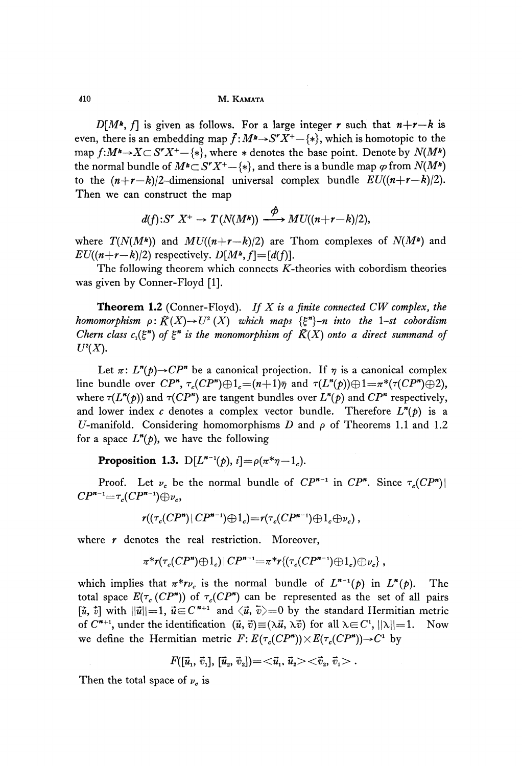410 M. KAMATA

 $D[M^*, f]$  is given as follows. For a large integer r such that  $n+r-k$  is even, there is an embedding map  $\widehat{f}:M^{\textit{k}}{\rightarrow}S^rX^{\textit{+}}{\mathord}-\{*\},$  which is homotopic to the map  $f:M^{\mathbf{k}} \rightarrow X \subset S^r X^+ - \{*\}$ , where  $*$  denotes the base point. Denote by  $N(M^{\mathbf{k}})$ the normal bundle of  $M^{\boldsymbol *}\mathbf{\subset} S^{\boldsymbol *}X^{\boldsymbol *}-\{*\}$ , and there is a bundle map  $\varphi$  from  $N(M^{\boldsymbol *})$ to the  $(n+r-k)/2$ -dimensional universal complex bundle  $EU((n+r-k)/2)$ . Then we can construct the map

$$
d(f): S^r X^+ \to T(N(M^*)) \xrightarrow{\phi} MU((n+r-k)/2),
$$

where  $T(N(M^k))$  and  $MU((n+r-k)/2)$  are Thom complexes of  $N(M^k)$  and  $EU((n+r-k)/2)$  respectively.  $D[M^k, f]=[d(f)].$ 

The following theorem which connects  $K$ -theories with cobordism theories was given by Conner-Floyd [1].

**Theorem 1.2** (Conner-Floyd). *If X is a finite connected CW complex, the homomorphism*  $\rho$ :  $\tilde{K}(X) \rightarrow U^2(X)$  which maps  $\{\xi^n\}$ -n into the 1-st cobordism *Chern class c*<sub>1</sub>( $\xi$ <sup>*n*</sup>) of  $\xi$ <sup>*n*</sup> is the monomorphism of  $\tilde{K}(X)$  onto a direct summand of  $U^2(X)$ .

Let  $\pi: L^{n}(p) \rightarrow CP^{n}$  be a canonical projection. If  $\eta$  is a canonical complex line bundle over  $CP^n$ ,  $\tau_c(CP^n) \oplus 1_c = (n+1)\overline{\eta}$  and  $\tau(L^n(p)) \oplus 1 = \pi^*(\tau(CP^n) \oplus 2)$ , where  $\tau(L^{n}(p))$  and  $\tau(CP^{n})$  are tangent bundles over  $L^{n}(p)$  and  $CP^{n}$  respectively, and lower index *c* denotes a complex vector bundle. Therefore *L<sup>n</sup> (p)* is a U-manifold. Considering homomorphisms D and  $\rho$  of Theorems 1.1 and 1.2 for a space  $L^n(p)$ , we have the following

**Proposition 1.3.**  $D[L^{n-1}(p), i] = \rho(\pi^* \eta - 1_c)$ .

Proof. Let  $\nu_c$  be the normal bundle of  $CP^{n-1}$  in  $CP^n$ . Since  $\tau_c(CP^n)$ 

$$
r((\tau_c(CP\cdot P\vert CP\cdot P\cdot \exists) \oplus 1_c)=r(\tau_c(CP\cdot P\cdot \exists) \oplus 1_c \oplus \nu_c),
$$

where  $r$  denotes the real restriction. Moreover,

$$
\pi^* r(\tau_c(CP'') \oplus 1_c) | CP^{n-1} = \pi^* r\{(\tau_c(CP^{n-1}) \oplus 1_c) \oplus \nu_c\},
$$

which implies that  $\pi^* r \nu_c$  is the normal bundle of  $L^{n-1}(p)$  in  $L^n(p)$ . The total space  $E(\tau_c(CP^*))$  of  $\tau_c(CP^*)$  can be represented as the set of all pairs  $[\tilde{u},\, \tilde{v}]$  with  $||\vec{u}||\!=\!1,\, \vec{u}\!\!\in\!\! C^{\,\boldsymbol{n}{+}1}\,$  and  $\langle \vec{u},\, \vec{v}\rangle\!\!=\!0$  by the standard Hermitian metric of  $C^{n+1}$ , under the identification  $(\vec{u}, \vec{v}) \equiv (\lambda \vec{u}, \lambda \vec{v})$  for all  $\lambda \in C^1$ ,  $||\lambda|| = 1$ . Now we define the Hermitian metric  $F: E(\tau_c(CP^*)) \times E(\tau_c(CP^*)) \rightarrow C^1$  by

$$
F([\vec{u}_1, \vec{v}_1], [\vec{u}_2, \vec{v}_2]) = \langle \vec{u}_1, \vec{u}_2 \rangle \langle \vec{v}_2, \vec{v}_1 \rangle.
$$

Then the total space of  $\nu_c$  is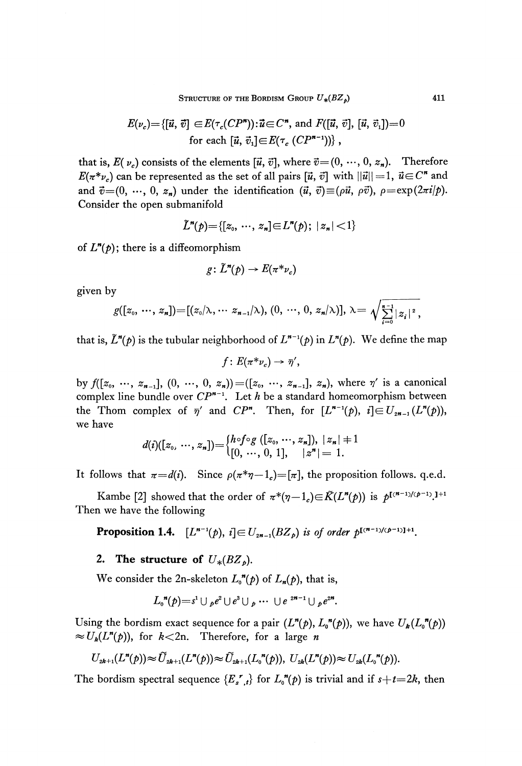$$
E(\nu_c) = \{ [\vec{u}, \vec{v}] \in E(\tau_c(CP^n)) : \vec{u} \in C^n, \text{ and } F([\vec{u}, \vec{v}], [\vec{u}, \vec{v}_1]) = 0
$$
  
for each  $[\vec{u}, \vec{v}_1] \in E(\tau_c(CP^{n-1})) \}$ ,

that is,  $E(v_c)$  consists of the elements  $[\vec{u}, \vec{v}]$ , where  $\vec{v} = (0, \dots, 0, z_n)$ . Therefore  $E(\pi^*\nu_c)$  can be represented as the set of all pairs  $[\vec u,\,\vec v]$  with  $||\vec u||\!=\!1, \ \vec u\!\in\!C^{\boldsymbol *}$  and and  $\vec{v}$  =  $(0, \ldots, 0, z_n)$  under the identification  $(\vec{u}, \vec{v})$   $\equiv$   $(\rho \vec{u}, \rho \vec{v})$ *,*  $\rho$   $=$   $\exp(2\pi i/p)$ *.* Consider the open submanifold

$$
\tilde{L}^n(p) = \{ [z_0, \ldots, z_n] \in L^n(p); \ |z_n| < 1 \}
$$

of  $L^n(p)$ ; there is a diffeomorphism

$$
g\colon \widetilde{L}^n(p)\to E(\pi^*\nu_c)
$$

given by

$$
g([z_0, \dots, z_n]) = [(z_0/\lambda, \dots, z_{n-1}/\lambda), (0, \dots, 0, z_n/\lambda)], \lambda = \sqrt{\sum_{i=0}^{n-1} |z_i|^2},
$$

that is,  $\tilde{L}^n(p)$  is the tubular neighborhood of  $L^{n-1}(p)$  in  $L^n(p).$  We define the map

$$
f\colon E(\pi^*\nu_c)\to \bar{\eta}',
$$

 $(x_0, \ldots, x_{n-1}]$ ,  $(0, \ldots, 0, z_n)) = ([z_0, \ldots, z_{n-1}], z_n)$ , where  $\eta'$  is a canonical complex line bundle over *CP"'<sup>1</sup> .* Let A be a standard homeomorphism between the Thom complex of  $\bar{\eta}'$  and  $CP^n$ . Then, for  $[L^{n-1}(p), i] \in U_{2n-1}(L^n(p)),$ we have

$$
d(i)([z_0, \ldots, z_n]) = \begin{cases} h \circ f \circ g ([z_0, \ldots, z_n]), \ |z_n| + 1 \\ [0, \ldots, 0, 1], \quad |z^n| = 1. \end{cases}
$$

It follows that  $\pi = d(i)$ . Since  $\rho(\pi^* \eta - 1_c) = [\pi]$ , the proposition follows. q.e.d.

Kambe [2] showed that the order of  $\pi^*(\eta-1_c) \in \tilde{K}(L^{\textit{m}}(p))$  is  $p^{\textit{I}}$ Then we have the following

**Proposition 1.4.**  $[L^{n-1}(p), i] \in U_{2n-1}(BZ_p)$  is of order  $p^{[(n-1)]/c}$ 

## 2. The structure of  $U_*(BZ_p)$ .

We consider the 2n-skeleton  $L_0^{\bullet}(\rho)$  of  $L_n(\rho)$ , that is,

$$
L_{\circ}^{\prime\prime}(p)=s^1\cup{}_pe^2\cup e^3\cup{}_p\cdots\cup e^{2n-1}\cup{}_pe^{2n}.
$$

Using the bordism exact sequence for a pair  $(L^n(p), L_0^n(p))$ , we have  $U_k(L_0^n(p))$  $\approx U_k(L^n(p))$ , for  $k<2n$ . Therefore, for a large *n* 

$$
U_{2k+1}(L^{n}(p)) \approx \widetilde{U}_{2k+1}(L^{n}(p)) \approx \widetilde{U}_{2k+1}(L^{n}(p)), U_{2k}(L^{n}(p)) \approx U_{2k}(L^{n}(p)).
$$

The bordism spectral sequence  $\{E_{s,t}^{\{r\}}\}$  for  $L_0^{\{r\}}(p)$  is trivial and if  $s+t=2k$ , then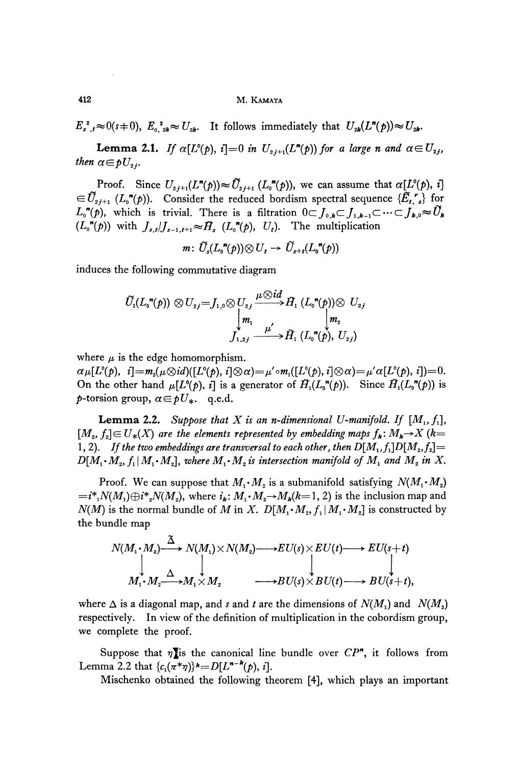**412 M. KAMATA**

*p*,  $E_0$ ,  $E_2$ ,  $\approx U_{2k}$ . It follows immediately that  $U_{2k}(L^n(p)) \approx U_{2k}$ .

*then*  $\alpha \in \mathfrak{p}U_{\alpha}$ . **Lemma 2.1.** *If*  $\alpha[L^o(p), i] = 0$  *in*  $U_{2j+1}(L^p(p))$  for a large n and

Proof. Since  $U_{2j+1}(L^n(p)) \approx \tilde{U}_{2j+1} (L_0^n(p))$ , we can assume that  $\alpha[L^o(p), i]$  $\in \tilde{U}_{2j+1}$  ( $L_o^{\bullet}(\phi)$ ). Consider the reduced bordism spectral sequence  $\{\tilde{E}_t, \tilde{E}_s\}$  for  $L_o''(p)$ , which is trivial. There is a filtration  $0 \subset J_{o,k} \subset J_{1,k-1} \subset \cdots \subset J_{k,0} \approx \tilde{U}_k$  $(L_o^{\prime\prime}(p))$  with  $J_{s,t}/J_{s-1,t+1} \approx \tilde{H}_s$   $(L_o^{\prime\prime}(p), U_t)$ . The multiplication

 $m: \widetilde{U}_s(L_0^{\prime\prime}(p))\otimes U_s \rightarrow \widetilde{U}_{s+t}(L_0^{\prime\prime}(p))$ 

induces the following commutative diagram

$$
\widetilde{U}_1(L_0"(\boldsymbol{p})) \otimes U_{2j} = J_{1,0} \otimes U_{2j} \xrightarrow{\mu \otimes id} \widetilde{H}_1(L_0"(\boldsymbol{p})) \otimes U_{2j}
$$
\n
$$
\downarrow m_1 \qquad \qquad \downarrow m_2
$$
\n
$$
J_{1,2j} \xrightarrow{\mu'} \widetilde{H}_1(L_0"(\boldsymbol{p}), U_{2j})
$$

where  $\mu$  is the edge homomorphism.

 $\alpha \mu[L^o(p), i] = m_2(\mu \otimes id)([L^o(p), i]\otimes \alpha) = \mu' \circ m_1([L^o(p), i]\otimes \alpha) = \mu' \alpha[L^o(p), i]) = 0.$ On the other hand  $\mu[L^o(p), i]$  is a generator of  $\tilde{H}_1(L_o^{\prime\prime}(p))$ . Since  $\tilde{H}_1(L_o^{\prime\prime}(p))$  is  $p$ -torsion group,  $\alpha \in pU_*$ . q.e.d.

**Lemma 2.2.** Suppose that X is an n-dimensional U-manifold. If  $[M_1, f_1]$ ,  $[M_2, f_2] \in U_*(X)$  are the elements represented by embedding maps  $f_k \colon M_k {\rightarrow} X$  (k= 1, 2). If the two embeddings are transversal to each other, then  $D[M_1,f_1]D[M_2,f_2]=0$  $D[M_1 \cdot M_2, f_1 | M_1 \cdot M_2]$ , where  $M_1 \cdot M_2$  is intersection manifold of  $M_1$  and  $M_2$  in X.

Proof. We can suppose that  $M_1 \cdot M_2$  is a submanifold satisfying  $\, N\!(M_1\!\cdot\! M_2)\,$  $=i^*{}_1N(M_1) \oplus i^*{}_2N(M_2)$ , where  $i_{\bm{k}}$ :  $M_1{\cdot}M_2{\rightarrow}M_{\bm{k}}(k{=}1,2)$  is the inclusion map and *N(M)* is the normal bundle of *M* in *X*.  $D[M_1 \cdot M_2, f_1 | M_1 \cdot M_2]$  is constructed by the bundle map

$$
N(M_1 \cdot M_2) \xrightarrow{\tilde{\Delta}} N(M_1) \times N(M_2) \longrightarrow EU(s) \times EU(t) \longrightarrow EU(s+t)
$$
  
\n
$$
\downarrow \qquad \qquad \downarrow \qquad \qquad \downarrow
$$
  
\n
$$
M_1 \cdot M_2 \xrightarrow{\Delta} M_1 \times M_2 \qquad \longrightarrow BU(s) \times BU(t) \longrightarrow BU(s+t),
$$

where  $\Delta$  is a diagonal map, and *s* and *t* are the dimensions of  $N(M_1)$  and  $N(M_2)$ respectively. In view of the definition of multiplication in the cobordism group, we complete the proof.

Suppose that  $\eta$  is the canonical line bundle over  $CP^n$ , it follows from Lemma 2.2 that  $\{c_1(\pi^*\eta)\}^{\mathbf{k}} = D[L^{\mathbf{n}-\mathbf{k}}(p), i].$ 

Mischenko obtained the following theorem [4], which plays an important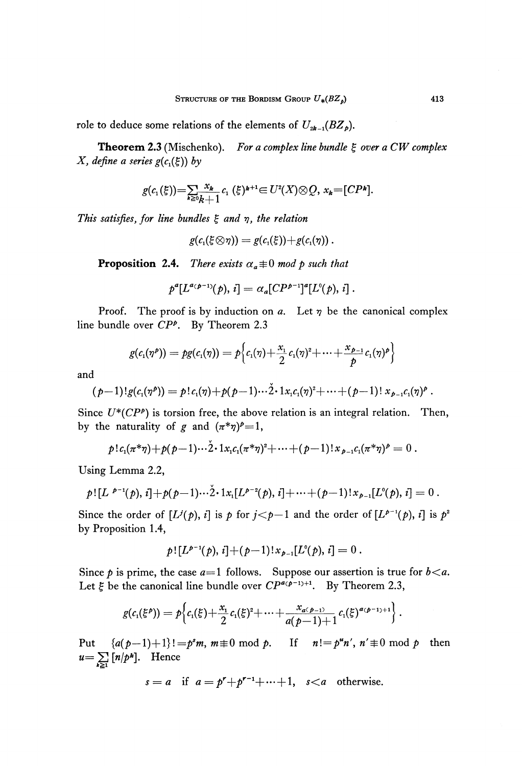role to deduce some relations of the elements of  $U_{2k-1}(BZ_p)$ .

**Theorem 2.3** (Mischenko). *For a complex line bundle ξ over a CW complex X*, define a series  $g(c_1(\xi))$  by

$$
g(c_1(\xi)) = \sum_{k \geq 0} \frac{x_k}{k+1} c_1(\xi)^{k+1} \in U^2(X) \otimes Q, x_k = [CP^k].
$$

*This satisfies, for line bundles ξ and η, the relation*

$$
g(c_{\scriptscriptstyle 1}(\xi\!\otimes\!\eta))=g(c_{\scriptscriptstyle 1}(\xi))\!+\!g(c_{\scriptscriptstyle 1}(\eta))\,.
$$

**Proposition 2.4.** There exists  $\alpha_a \equiv 0 \mod p$  such that

$$
p^{a}[L^{a(p-1)}(p), i] = \alpha_a [CP^{p-1}]^a [L^{0}(p), i].
$$

Proof. The proof is by induction on *a.* Let *η* be the canonical complex line bundle over *CP<sup>P</sup> .* By Theorem 2.3

$$
g(c_i(\eta^p))=pg(c_i(\eta))=p\Big\{c_i(\eta)+\frac{x_i}{2}c_i(\eta)^2+\cdots+\frac{x_{p-1}}{p}c_i(\eta)^p\Big\}
$$

and

$$
(p-1)!g(c_1(\eta^p))=p!c_1(\eta)+p(p-1)\cdots 2\cdot 1 x_i c_1(\eta)^2+\cdots+(p-1)!x_{p-1}c_1(\eta)^p.
$$

Since  $U^*(CP^p)$  is torsion free, the above relation is an integral relation. Then, by the naturality of g and  $(\pi^*\eta)^p=1$ ,

$$
p!c_1(\pi^*\eta)+p(p-1)\cdots 2\cdot 1 x_i c_1(\pi^*\eta)^2+\cdots+(p-1)!x_{p-1}c_1(\pi^*\eta)^p=0.
$$

Using Lemma 2.2,

$$
p! [L^{p-1}(p), i] + p(p-1) \cdots 2 \cdot 1 x_i [L^{p-2}(p), i] + \cdots + (p-1)! x_{p-1} [L^{0}(p), i] = 0.
$$

Since the order of  $[L^{j}(p), i]$  is p for  $j < p-1$  and the order of  $[L^{p-1}(p), i]$  is  $p^{2}$ by Proposition 1.4,

$$
p! [L^{p-1}(p), i] + (p-1)! x_{p-1} [L^0(p), i] = 0.
$$

Since  $p$  is prime, the case  $a=1$  follows. Suppose our assertion is true for  $b < a$ . Let *ξ* be the canonical line bundle over *CPacp~^+1 .* By Theorem 2.3,

$$
g(c_{1}(\xi^{p}))=p\Big\{c_{1}(\xi)+\frac{x_{1}}{2}c_{1}(\xi)^{2}+\cdots+\frac{x_{a(p-1)}}{a(p-1)+1}c_{1}(\xi)^{a(p-1)+1}\Big\}.
$$

Put  $\{a(p-1)+1\}!=p^s m, m\equiv 0 \text{ mod } p.$  If  $n!=p^m n', n'\equiv 0 \text{ mod } p$  then  $u = \sum_{n=1}^{\infty} [n/p^k]$ . Hence

$$
s = a \quad \text{if} \quad a = p^r + p^{r-1} + \dots + 1, \quad s < a \quad \text{otherwise.}
$$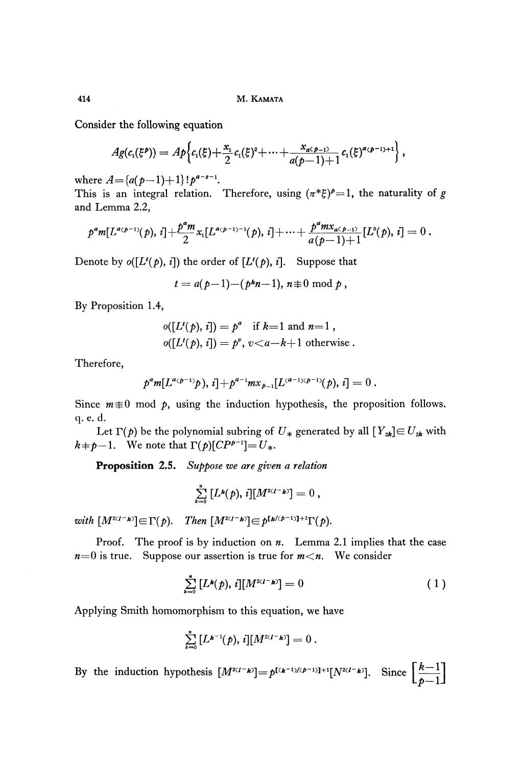Consider the following equation

$$
Ag(c_{1}(\xi^{p})) = Ap\Big\{c_{1}(\xi)+\frac{x_{1}}{2}c_{1}(\xi)^{2}+\cdots+\frac{x_{a(\mathbf{p}-1)}}{a(\mathbf{p}-1)+1}c_{1}(\xi)^{a(\mathbf{p}-1)+1}\Big\},\,
$$

where  $A = \{a(p-1)+1\}$ !  $p^{a-s-1}$ .

This is an integral relation. Therefore, using  $(\pi^*\xi)^p = 1$ , the naturality of g and Lemma 2.2,

$$
p^a m[L^{a(p-1)}(p), i] + \frac{p^a m}{2} x_1[L^{a(p-1)-1}(p), i] + \cdots + \frac{p^a m x_{a(p-1)}}{a(p-1)+1} [L^0(p), i] = 0.
$$

Denote by  $o([L^t(p), i])$  the order of  $[L^t(p), i]$ . Suppose that

$$
t = a(p-1) - (p^kn-1), n \equiv 0 \bmod p,
$$

By Proposition 1.4,

$$
o([L^{t}(p), i]) = p^{a} \text{ if } k=1 \text{ and } n=1,
$$
  

$$
o([L^{t}(p), i]) = p^{v}, v < a-k+1 \text{ otherwise.}
$$

Therefore,

$$
p^a m[L^{a(p-1)}p), i] + p^{a-1} m x_{p-1}[L^{(a-1)(p-1)}(p), i] = 0.
$$

Since  $m \neq 0$  mod  $p$ , using the induction hypothesis, the proposition follows. q. e. d.

Let  $\Gamma(p)$  be the polynomial subring of  $U_*$  generated by all  $[Y_{2k}] \in U_{2k}$  with  $k+p-1$ . We note that  $\Gamma(p)[CP^{p-1}]=U_*$ .

**Proposition 2.5.** *Suppose we are given a relation*

$$
\sum_{k=0}^n [L^k(p), i][M^{2(I-k)}] = 0,
$$

*with*  $[M^{2(I-k)}] \in \Gamma(p)$ . *Then*  $[M^{2(I-k)}] \in p^{[k/(p-1)]+1}\Gamma(p)$ .

Proof. The proof is by induction on *n.* Lemma 2.1 implies that the case  $n=0$  is true. Suppose our assertion is true for  $m < n$ . We consider

$$
\sum_{k=0}^{n} [L^{k}(p), i][M^{2(I-k)}] = 0 \qquad (1)
$$

Applying Smith homomorphism to this equation, we have

$$
\sum_{k=0}^n [L^{k-1}(p), i][M^{2(I-k)}] = 0.
$$

By the induction hypothesis  $[M^{2(1-k)}] = p^{[(k-1)/(p-1)]+1}[N^{2(1-k)}]$ . Since  $\left[\frac{R-1}{r-1}\right]$ **Lί>—1J**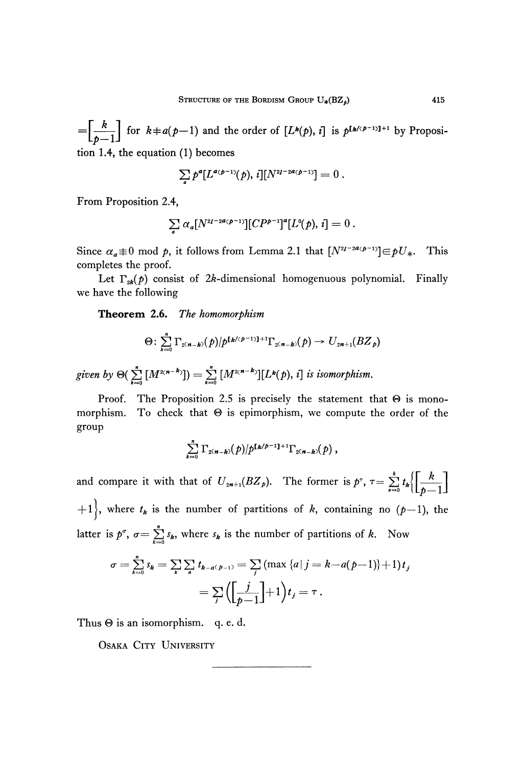for  $k \neq a(p-1)$  and the order of  $[L^k(p), i]$  is  $p^{[k/(p-1)]+1}$  by Proposi  $L_p - L$ tion 1.4, the equation (1) becomes

$$
\sum_{a} p^{a} [L^{a(p-1)}(p), i][N^{2l-2a(p-1)}] = 0.
$$

From Proposition 2.4,

$$
\sum_{a} \alpha_a [N^{2l-2a(p-1)}][CP^{p-1}]^a [L^0(p), i] = 0.
$$

Since  $\alpha_a \equiv 0 \mod p$ , it follows from Lemma 2.1 that  $[N^{2I-2a(p-1)}] \in pU_*$ . This completes the proof.

Let  $\Gamma_{2k}(p)$  consist of 2k-dimensional homogenuous polynomial. Finally we have the following

**Theorem 2.6.** *The homomorphism*

$$
\Theta\colon \sum_{k=0}^n\Gamma_{2(n-k)}(p)/p^{\lfloor k/(p-1)\rfloor+1}\Gamma_{2(n-k)}(p)\to U_{2n+1}(B\mathbb{Z}_p)
$$

given by  $\Theta(\sum [M^{2(n-k)}]) = \sum [M^{2(n-k)}][L^k(p), i]$  is isomorphism.

Proof. The Proposition 2.5 is precisely the statement that  $\Theta$  is monomorphism. To check that  $\Theta$  is epimorphism, we compute the order of the group

$$
\sum_{k=0}^n \Gamma_{2(n-k)}(p)/p^{[k/p-1]+1} \Gamma_{2(n-k)}(p) ,
$$

and compare it with that of  $U_{2n+1}(BZ_p)$ . The former is  $p^{\tau}, \tau = \sum t$  $\sum_{k=0}^{\infty}$  (L $p$  — IJ  $+1$ , where  $t_k$  is the number of partitions of  $k$ , containing no  $(p-1)$ , the latter is  $p^{\sigma}$ ,  $\sigma = \sum_{k=0}^{n} s_k$ , where  $s_k$  is the number of partitions of k. Now

$$
\sigma = \sum_{k=0}^{n} s_k = \sum_{k} \sum_{a} t_{k-a(p-1)} = \sum_{j} (\max \{a | j = k - a(p-1)\} + 1) t_j
$$

$$
= \sum_{j} \left( \left[ \frac{j}{p-1} \right] + 1 \right) t_j = \tau.
$$

Thus  $\Theta$  is an isomorphism. q. e. d.

OSAKA CITY UNIVERSITY